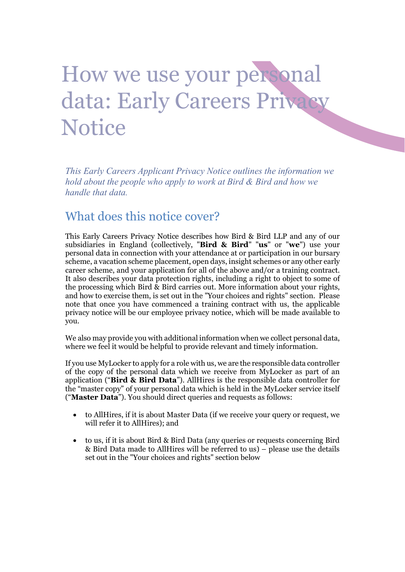# How we use your personal data: Early Careers Privacy **Notice**

This Early Careers Applicant Privacy Notice outlines the information we hold about the people who apply to work at Bird & Bird and how we handle that data.

### What does this notice cover?

This Early Careers Privacy Notice describes how Bird & Bird LLP and any of our subsidiaries in England (collectively, "Bird & Bird" "us" or "we") use your personal data in connection with your attendance at or participation in our bursary scheme, a vacation scheme placement, open days, insight schemes or any other early career scheme, and your application for all of the above and/or a training contract. It also describes your data protection rights, including a right to object to some of the processing which Bird & Bird carries out. More information about your rights, and how to exercise them, is set out in the "Your choices and rights" section. Please note that once you have commenced a training contract with us, the applicable privacy notice will be our employee privacy notice, which will be made available to you.

We also may provide you with additional information when we collect personal data, where we feel it would be helpful to provide relevant and timely information.

If you use MyLocker to apply for a role with us, we are the responsible data controller of the copy of the personal data which we receive from MyLocker as part of an application ("Bird  $\&$  Bird Data"). AllHires is the responsible data controller for the "master copy" of your personal data which is held in the MyLocker service itself ("Master Data"). You should direct queries and requests as follows:

- to AllHires, if it is about Master Data (if we receive your query or request, we will refer it to AllHires); and
- to us, if it is about Bird & Bird Data (any queries or requests concerning Bird & Bird Data made to AllHires will be referred to us) – please use the details set out in the "Your choices and rights" section below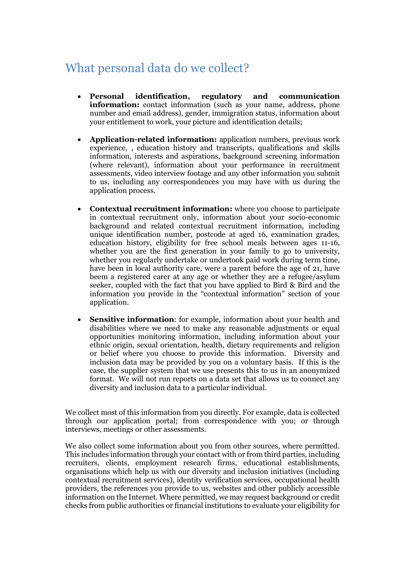## What personal data do we collect?

- Personal identification, regulatory and communication information: contact information (such as your name, address, phone number and email address), gender, immigration status, information about your entitlement to work, your picture and identification details;
- Application-related information: application numbers, previous work experience, , education history and transcripts, qualifications and skills information, interests and aspirations, background screening information (where relevant), information about your performance in recruitment assessments, video interview footage and any other information you submit to us, including any correspondences you may have with us during the application process.
- Contextual recruitment information: where you choose to participate in contextual recruitment only, information about your socio-economic background and related contextual recruitment information, including unique identification number, postcode at aged 16, examination grades, education history, eligibility for free school meals between ages 11-16, whether you are the first generation in your family to go to university, whether you regularly undertake or undertook paid work during term time, have been in local authority care, were a parent before the age of 21, have beem a registered carer at any age or whether they are a refugee/asylum seeker, coupled with the fact that you have applied to Bird & Bird and the information you provide in the "contextual information" section of your application.
- Sensitive information: for example, information about your health and disabilities where we need to make any reasonable adjustments or equal opportunities monitoring information, including information about your ethnic origin, sexual orientation, health, dietary requirements and religion or belief where you choose to provide this information. Diversity and inclusion data may be provided by you on a voluntary basis. If this is the case, the supplier system that we use presents this to us in an anonymized format. We will not run reports on a data set that allows us to connect any diversity and inclusion data to a particular individual.

We collect most of this information from you directly. For example, data is collected through our application portal; from correspondence with you; or through interviews, meetings or other assessments.

We also collect some information about you from other sources, where permitted. This includes information through your contact with or from third parties, including recruiters, clients, employment research firms, educational establishments, organisations which help us with our diversity and inclusion initiatives (including contextual recruitment services), identity verification services, occupational health providers, the references you provide to us, websites and other publicly accessible information on the Internet. Where permitted, we may request background or credit checks from public authorities or financial institutions to evaluate your eligibility for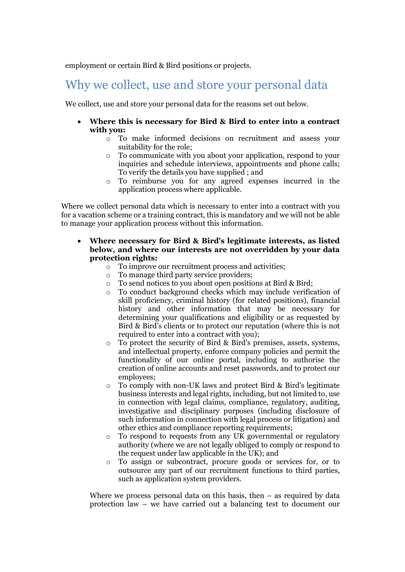employment or certain Bird & Bird positions or projects.

## Why we collect, use and store your personal data

We collect, use and store your personal data for the reasons set out below.

- Where this is necessary for Bird & Bird to enter into a contract with you:
	- o To make informed decisions on recruitment and assess your suitability for the role;
	- o To communicate with you about your application, respond to your inquiries and schedule interviews, appointments and phone calls; To verify the details you have supplied ; and
	- o To reimburse you for any agreed expenses incurred in the application process where applicable.

Where we collect personal data which is necessary to enter into a contract with you for a vacation scheme or a training contract, this is mandatory and we will not be able to manage your application process without this information.

- Where necessary for Bird & Bird's legitimate interests, as listed below, and where our interests are not overridden by your data protection rights:
	- o To improve our recruitment process and activities;
	- o To manage third party service providers;
	- o To send notices to you about open positions at Bird & Bird;
	- o To conduct background checks which may include verification of skill proficiency, criminal history (for related positions), financial history and other information that may be necessary for determining your qualifications and eligibility or as requested by Bird & Bird's clients or to protect our reputation (where this is not required to enter into a contract with you);
	- o To protect the security of Bird & Bird's premises, assets, systems, and intellectual property, enforce company policies and permit the functionality of our online portal, including to authorise the creation of online accounts and reset passwords, and to protect our employees;
	- o To comply with non-UK laws and protect Bird & Bird's legitimate business interests and legal rights, including, but not limited to, use in connection with legal claims, compliance, regulatory, auditing, investigative and disciplinary purposes (including disclosure of such information in connection with legal process or litigation) and other ethics and compliance reporting requirements;
	- $\circ$  To respond to requests from any UK governmental or regulatory authority (where we are not legally obliged to comply or respond to the request under law applicable in the UK); and
	- o To assign or subcontract, procure goods or services for, or to outsource any part of our recruitment functions to third parties, such as application system providers.

Where we process personal data on this basis, then  $-$  as required by data protection law – we have carried out a balancing test to document our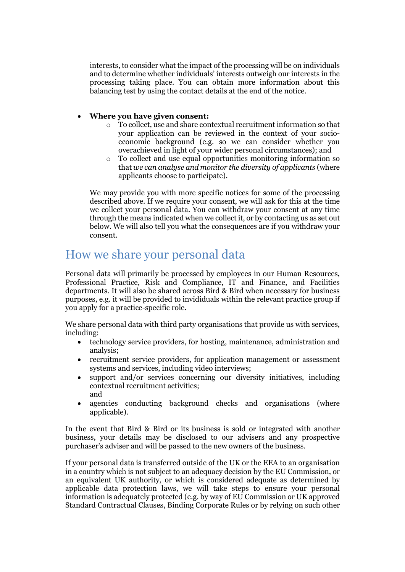interests, to consider what the impact of the processing will be on individuals and to determine whether individuals' interests outweigh our interests in the processing taking place. You can obtain more information about this balancing test by using the contact details at the end of the notice.

#### Where you have given consent:

- o To collect, use and share contextual recruitment information so that your application can be reviewed in the context of your socioeconomic background (e.g. so we can consider whether you overachieved in light of your wider personal circumstances); and
- o To collect and use equal opportunities monitoring information so that we can analyse and monitor the diversity of applicants (where applicants choose to participate).

We may provide you with more specific notices for some of the processing described above. If we require your consent, we will ask for this at the time we collect your personal data. You can withdraw your consent at any time through the means indicated when we collect it, or by contacting us as set out below. We will also tell you what the consequences are if you withdraw your consent.

#### How we share your personal data

Personal data will primarily be processed by employees in our Human Resources, Professional Practice, Risk and Compliance, IT and Finance, and Facilities departments. It will also be shared across Bird & Bird when necessary for business purposes, e.g. it will be provided to invididuals within the relevant practice group if you apply for a practice-specific role.

We share personal data with third party organisations that provide us with services, including:

- technology service providers, for hosting, maintenance, administration and analysis;
- recruitment service providers, for application management or assessment systems and services, including video interviews;
- support and/or services concerning our diversity initiatives, including contextual recruitment activities; and
- agencies conducting background checks and organisations (where applicable).

In the event that Bird & Bird or its business is sold or integrated with another business, your details may be disclosed to our advisers and any prospective purchaser's adviser and will be passed to the new owners of the business.

If your personal data is transferred outside of the UK or the EEA to an organisation in a country which is not subject to an adequacy decision by the EU Commission, or an equivalent UK authority, or which is considered adequate as determined by applicable data protection laws, we will take steps to ensure your personal information is adequately protected (e.g. by way of EU Commission or UK approved Standard Contractual Clauses, Binding Corporate Rules or by relying on such other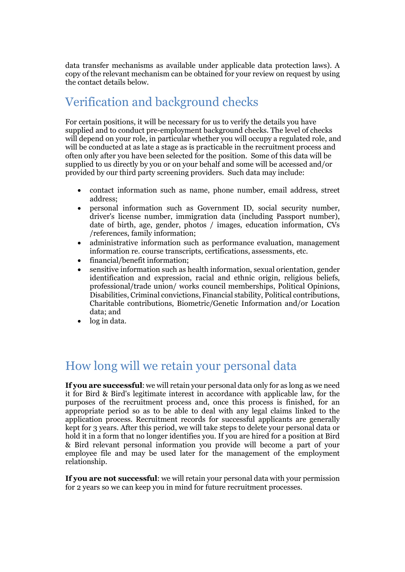data transfer mechanisms as available under applicable data protection laws). A copy of the relevant mechanism can be obtained for your review on request by using the contact details below.

## Verification and background checks

For certain positions, it will be necessary for us to verify the details you have supplied and to conduct pre-employment background checks. The level of checks will depend on your role, in particular whether you will occupy a regulated role, and will be conducted at as late a stage as is practicable in the recruitment process and often only after you have been selected for the position. Some of this data will be supplied to us directly by you or on your behalf and some will be accessed and/or provided by our third party screening providers. Such data may include:

- contact information such as name, phone number, email address, street address;
- personal information such as Government ID, social security number, driver's license number, immigration data (including Passport number), date of birth, age, gender, photos / images, education information, CVs /references, family information;
- administrative information such as performance evaluation, management information re. course transcripts, certifications, assessments, etc.
- financial/benefit information;
- sensitive information such as health information, sexual orientation, gender identification and expression, racial and ethnic origin, religious beliefs, professional/trade union/ works council memberships, Political Opinions, Disabilities, Criminal convictions, Financial stability, Political contributions, Charitable contributions, Biometric/Genetic Information and/or Location data; and
- log in data.

## How long will we retain your personal data

If you are successful: we will retain your personal data only for as long as we need it for Bird & Bird's legitimate interest in accordance with applicable law, for the purposes of the recruitment process and, once this process is finished, for an appropriate period so as to be able to deal with any legal claims linked to the application process. Recruitment records for successful applicants are generally kept for 3 years. After this period, we will take steps to delete your personal data or hold it in a form that no longer identifies you. If you are hired for a position at Bird & Bird relevant personal information you provide will become a part of your employee file and may be used later for the management of the employment relationship.

If you are not successful: we will retain your personal data with your permission for 2 years so we can keep you in mind for future recruitment processes.